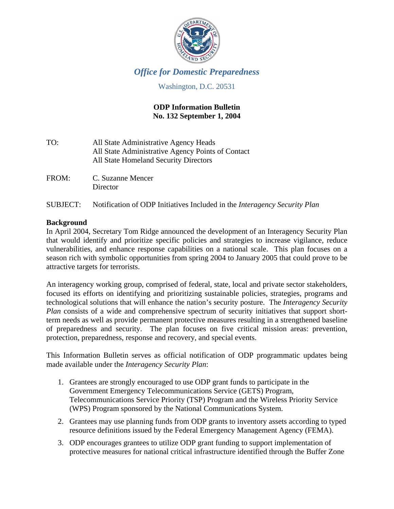

# *Office for Domestic Preparedness*

# Washington, D.C. 20531

# **ODP Information Bulletin No. 132 September 1, 2004**

| All State Administrative Agency Heads             |
|---------------------------------------------------|
| All State Administrative Agency Points of Contact |
| All State Homeland Security Directors             |
|                                                   |

FROM: C. Suzanne Mencer **Director** 

# SUBJECT: Notification of ODP Initiatives Included in the *Interagency Security Plan*

# **Background**

In April 2004, Secretary Tom Ridge announced the development of an Interagency Security Plan that would identify and prioritize specific policies and strategies to increase vigilance, reduce vulnerabilities, and enhance response capabilities on a national scale. This plan focuses on a season rich with symbolic opportunities from spring 2004 to January 2005 that could prove to be attractive targets for terrorists.

An interagency working group, comprised of federal, state, local and private sector stakeholders, focused its efforts on identifying and prioritizing sustainable policies, strategies, programs and technological solutions that will enhance the nation's security posture. The *Interagency Security Plan* consists of a wide and comprehensive spectrum of security initiatives that support shortterm needs as well as provide permanent protective measures resulting in a strengthened baseline of preparedness and security. The plan focuses on five critical mission areas: prevention, protection, preparedness, response and recovery, and special events.

This Information Bulletin serves as official notification of ODP programmatic updates being made available under the *Interagency Security Plan*:

- 1. Grantees are strongly encouraged to use ODP grant funds to participate in the Government Emergency Telecommunications Service (GETS) Program, Telecommunications Service Priority (TSP) Program and the Wireless Priority Service (WPS) Program sponsored by the National Communications System.
- 2. Grantees may use planning funds from ODP grants to inventory assets according to typed resource definitions issued by the Federal Emergency Management Agency (FEMA).
- 3. ODP encourages grantees to utilize ODP grant funding to support implementation of protective measures for national critical infrastructure identified through the Buffer Zone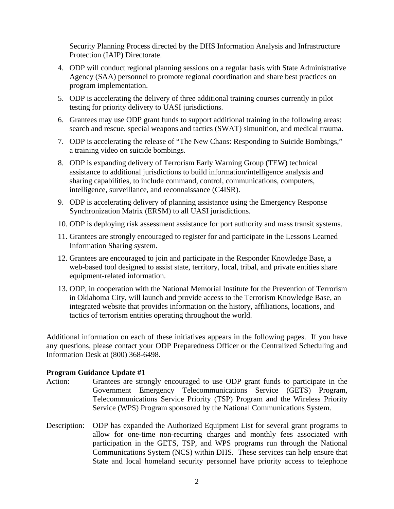Security Planning Process directed by the DHS Information Analysis and Infrastructure Protection (IAIP) Directorate.

- 4. ODP will conduct regional planning sessions on a regular basis with State Administrative Agency (SAA) personnel to promote regional coordination and share best practices on program implementation.
- 5. ODP is accelerating the delivery of three additional training courses currently in pilot testing for priority delivery to UASI jurisdictions.
- 6. Grantees may use ODP grant funds to support additional training in the following areas: search and rescue, special weapons and tactics (SWAT) simunition, and medical trauma.
- 7. ODP is accelerating the release of "The New Chaos: Responding to Suicide Bombings," a training video on suicide bombings.
- 8. ODP is expanding delivery of Terrorism Early Warning Group (TEW) technical assistance to additional jurisdictions to build information/intelligence analysis and sharing capabilities, to include command, control, communications, computers, intelligence, surveillance, and reconnaissance (C4ISR).
- 9. ODP is accelerating delivery of planning assistance using the Emergency Response Synchronization Matrix (ERSM) to all UASI jurisdictions.
- 10. ODP is deploying risk assessment assistance for port authority and mass transit systems.
- 11. Grantees are strongly encouraged to register for and participate in the Lessons Learned Information Sharing system.
- 12. Grantees are encouraged to join and participate in the Responder Knowledge Base, a web-based tool designed to assist state, territory, local, tribal, and private entities share equipment-related information.
- 13. ODP, in cooperation with the National Memorial Institute for the Prevention of Terrorism in Oklahoma City, will launch and provide access to the Terrorism Knowledge Base, an integrated website that provides information on the history, affiliations, locations, and tactics of terrorism entities operating throughout the world.

Additional information on each of these initiatives appears in the following pages. If you have any questions, please contact your ODP Preparedness Officer or the Centralized Scheduling and Information Desk at (800) 368-6498.

- Action: Grantees are strongly encouraged to use ODP grant funds to participate in the Government Emergency Telecommunications Service (GETS) Program, Telecommunications Service Priority (TSP) Program and the Wireless Priority Service (WPS) Program sponsored by the National Communications System.
- Description: ODP has expanded the Authorized Equipment List for several grant programs to allow for one-time non-recurring charges and monthly fees associated with participation in the GETS, TSP, and WPS programs run through the National Communications System (NCS) within DHS. These services can help ensure that State and local homeland security personnel have priority access to telephone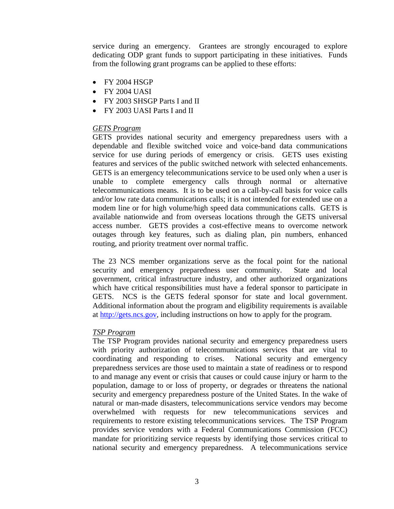service during an emergency. Grantees are strongly encouraged to explore dedicating ODP grant funds to support participating in these initiatives. Funds from the following grant programs can be applied to these efforts:

- FY 2004 HSGP
- FY 2004 UASI
- FY 2003 SHSGP Parts I and II
- FY 2003 UASI Parts I and II

## *GETS Program*

GETS provides national security and emergency preparedness users with a dependable and flexible switched voice and voice-band data communications service for use during periods of emergency or crisis. GETS uses existing features and services of the public switched network with selected enhancements. GETS is an emergency telecommunications service to be used only when a user is unable to complete emergency calls through normal or alternative telecommunications means. It is to be used on a call-by-call basis for voice calls and/or low rate data communications calls; it is not intended for extended use on a modem line or for high volume/high speed data communications calls. GETS is available nationwide and from overseas locations through the GETS universal access number. GETS provides a cost-effective means to overcome network outages through key features, such as dialing plan, pin numbers, enhanced routing, and priority treatment over normal traffic.

The 23 NCS member organizations serve as the focal point for the national security and emergency preparedness user community. State and local government, critical infrastructure industry, and other authorized organizations which have critical responsibilities must have a federal sponsor to participate in GETS. NCS is the GETS federal sponsor for state and local government. Additional information about the program and eligibility requirements is available at [http://gets.ncs.gov,](http://gets.ncs.gov/) including instructions on how to apply for the program.

## *TSP Program*

The TSP Program provides national security and emergency preparedness users with priority authorization of telecommunications services that are vital to coordinating and responding to crises. National security and emergency preparedness services are those used to maintain a state of readiness or to respond to and manage any event or crisis that causes or could cause injury or harm to the population, damage to or loss of property, or degrades or threatens the national security and emergency preparedness posture of the United States. In the wake of natural or man-made disasters, telecommunications service vendors may become overwhelmed with requests for new telecommunications services and requirements to restore existing telecommunications services. The TSP Program provides service vendors with a Federal Communications Commission (FCC) mandate for prioritizing service requests by identifying those services critical to national security and emergency preparedness. A telecommunications service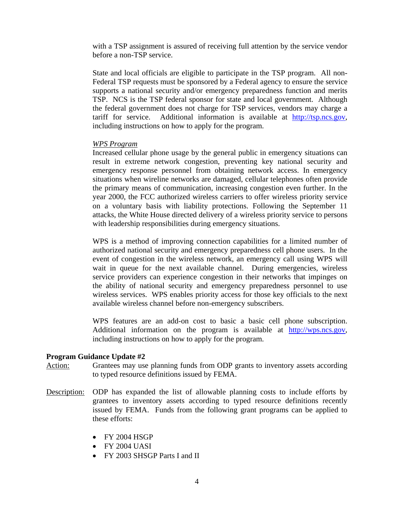with a TSP assignment is assured of receiving full attention by the service vendor before a non-TSP service.

State and local officials are eligible to participate in the TSP program. All non-Federal TSP requests must be sponsored by a Federal agency to ensure the service supports a national security and/or emergency preparedness function and merits TSP. NCS is the TSP federal sponsor for state and local government. Although the federal government does not charge for TSP services, vendors may charge a tariff for service. Additional information is available at [http://tsp.ncs.gov,](http://tsp.ncs.gov/) including instructions on how to apply for the program.

#### *WPS Program*

Increased cellular phone usage by the general public in emergency situations can result in extreme network congestion, preventing key national security and emergency response personnel from obtaining network access. In emergency situations when wireline networks are damaged, cellular telephones often provide the primary means of communication, increasing congestion even further. In the year 2000, the FCC authorized wireless carriers to offer wireless priority service on a voluntary basis with liability protections. Following the September 11 attacks, the White House directed delivery of a wireless priority service to persons with leadership responsibilities during emergency situations.

WPS is a method of improving connection capabilities for a limited number of authorized national security and emergency preparedness cell phone users. In the event of congestion in the wireless network, an emergency call using WPS will wait in queue for the next available channel. During emergencies, wireless service providers can experience congestion in their networks that impinges on the ability of national security and emergency preparedness personnel to use wireless services. WPS enables priority access for those key officials to the next available wireless channel before non-emergency subscribers.

WPS features are an add-on cost to basic a basic cell phone subscription. Additional information on the program is available at [http://wps.ncs.gov,](http://wps.ncs.gov/) including instructions on how to apply for the program.

#### **Program Guidance Update #2**

Action: Grantees may use planning funds from ODP grants to inventory assets according to typed resource definitions issued by FEMA.

- Description: ODP has expanded the list of allowable planning costs to include efforts by grantees to inventory assets according to typed resource definitions recently issued by FEMA. Funds from the following grant programs can be applied to these efforts:
	- FY 2004 HSGP
	- FY 2004 UASI
	- FY 2003 SHSGP Parts I and II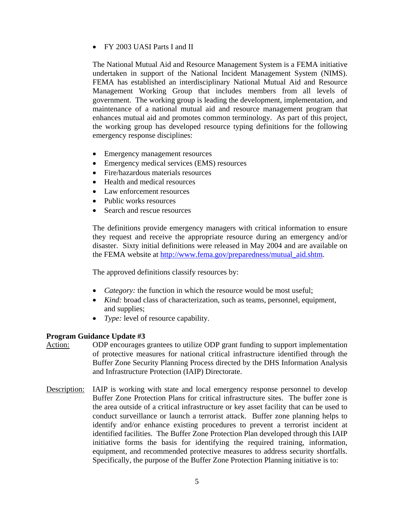• FY 2003 UASI Parts I and II

The National Mutual Aid and Resource Management System is a FEMA initiative undertaken in support of the National Incident Management System (NIMS). FEMA has established an interdisciplinary National Mutual Aid and Resource Management Working Group that includes members from all levels of government. The working group is leading the development, implementation, and maintenance of a national mutual aid and resource management program that enhances mutual aid and promotes common terminology. As part of this project, the working group has developed resource typing definitions for the following emergency response disciplines:

- Emergency management resources
- Emergency medical services (EMS) resources
- Fire/hazardous materials resources
- Health and medical resources
- Law enforcement resources
- Public works resources
- Search and rescue resources

The definitions provide emergency managers with critical information to ensure they request and receive the appropriate resource during an emergency and/or disaster. Sixty initial definitions were released in May 2004 and are available on the FEMA website at [http://www.fema.gov/preparedness/mutual\\_aid.shtm.](http://www.fema.gov/preparedness/mutual_aid.shtm)

The approved definitions classify resources by:

- *Category:* the function in which the resource would be most useful;
- *Kind:* broad class of characterization, such as teams, personnel, equipment, and supplies;
- *Type:* level of resource capability.

- Action: ODP encourages grantees to utilize ODP grant funding to support implementation of protective measures for national critical infrastructure identified through the Buffer Zone Security Planning Process directed by the DHS Information Analysis and Infrastructure Protection (IAIP) Directorate.
- Description: IAIP is working with state and local emergency response personnel to develop Buffer Zone Protection Plans for critical infrastructure sites. The buffer zone is the area outside of a critical infrastructure or key asset facility that can be used to conduct surveillance or launch a terrorist attack. Buffer zone planning helps to identify and/or enhance existing procedures to prevent a terrorist incident at identified facilities. The Buffer Zone Protection Plan developed through this IAIP initiative forms the basis for identifying the required training, information, equipment, and recommended protective measures to address security shortfalls. Specifically, the purpose of the Buffer Zone Protection Planning initiative is to: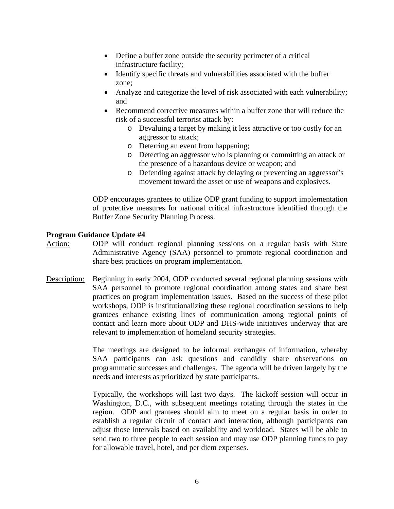- Define a buffer zone outside the security perimeter of a critical infrastructure facility;
- Identify specific threats and vulnerabilities associated with the buffer zone;
- Analyze and categorize the level of risk associated with each vulnerability; and
- Recommend corrective measures within a buffer zone that will reduce the risk of a successful terrorist attack by:
	- o Devaluing a target by making it less attractive or too costly for an aggressor to attack;
	- o Deterring an event from happening;
	- o Detecting an aggressor who is planning or committing an attack or the presence of a hazardous device or weapon; and
	- o Defending against attack by delaying or preventing an aggressor's movement toward the asset or use of weapons and explosives.

ODP encourages grantees to utilize ODP grant funding to support implementation of protective measures for national critical infrastructure identified through the Buffer Zone Security Planning Process.

## **Program Guidance Update #4**

- Action: ODP will conduct regional planning sessions on a regular basis with State Administrative Agency (SAA) personnel to promote regional coordination and share best practices on program implementation.
- Description: Beginning in early 2004, ODP conducted several regional planning sessions with SAA personnel to promote regional coordination among states and share best practices on program implementation issues. Based on the success of these pilot workshops, ODP is institutionalizing these regional coordination sessions to help grantees enhance existing lines of communication among regional points of contact and learn more about ODP and DHS-wide initiatives underway that are relevant to implementation of homeland security strategies.

The meetings are designed to be informal exchanges of information, whereby SAA participants can ask questions and candidly share observations on programmatic successes and challenges. The agenda will be driven largely by the needs and interests as prioritized by state participants.

Typically, the workshops will last two days. The kickoff session will occur in Washington, D.C., with subsequent meetings rotating through the states in the region. ODP and grantees should aim to meet on a regular basis in order to establish a regular circuit of contact and interaction, although participants can adjust those intervals based on availability and workload. States will be able to send two to three people to each session and may use ODP planning funds to pay for allowable travel, hotel, and per diem expenses.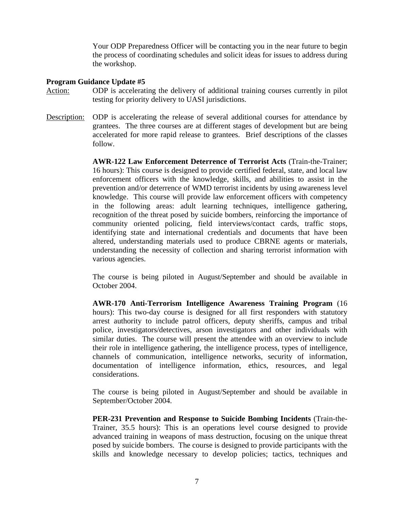Your ODP Preparedness Officer will be contacting you in the near future to begin the process of coordinating schedules and solicit ideas for issues to address during the workshop.

#### **Program Guidance Update #5**

- Action: ODP is accelerating the delivery of additional training courses currently in pilot testing for priority delivery to UASI jurisdictions.
- Description: ODP is accelerating the release of several additional courses for attendance by grantees. The three courses are at different stages of development but are being accelerated for more rapid release to grantees. Brief descriptions of the classes follow.

**AWR-122 Law Enforcement Deterrence of Terrorist Acts** (Train-the-Trainer; 16 hours): This course is designed to provide certified federal, state, and local law enforcement officers with the knowledge, skills, and abilities to assist in the prevention and/or deterrence of WMD terrorist incidents by using awareness level knowledge. This course will provide law enforcement officers with competency in the following areas: adult learning techniques, intelligence gathering, recognition of the threat posed by suicide bombers, reinforcing the importance of community oriented policing, field interviews/contact cards, traffic stops, identifying state and international credentials and documents that have been altered, understanding materials used to produce CBRNE agents or materials, understanding the necessity of collection and sharing terrorist information with various agencies.

The course is being piloted in August/September and should be available in October 2004.

**AWR-170 Anti-Terrorism Intelligence Awareness Training Program** (16 hours): This two-day course is designed for all first responders with statutory arrest authority to include patrol officers, deputy sheriffs, campus and tribal police, investigators/detectives, arson investigators and other individuals with similar duties. The course will present the attendee with an overview to include their role in intelligence gathering, the intelligence process, types of intelligence, channels of communication, intelligence networks, security of information, documentation of intelligence information, ethics, resources, and legal considerations.

The course is being piloted in August/September and should be available in September/October 2004.

**PER-231 Prevention and Response to Suicide Bombing Incidents** (Train-the-Trainer, 35.5 hours): This is an operations level course designed to provide advanced training in weapons of mass destruction, focusing on the unique threat posed by suicide bombers. The course is designed to provide participants with the skills and knowledge necessary to develop policies; tactics, techniques and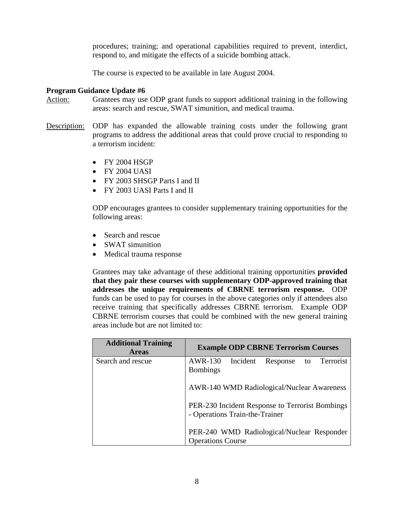procedures; training; and operational capabilities required to prevent, interdict, respond to, and mitigate the effects of a suicide bombing attack.

The course is expected to be available in late August 2004.

## **Program Guidance Update #6**

- Action: Grantees may use ODP grant funds to support additional training in the following areas: search and rescue, SWAT simunition, and medical trauma.
- Description: ODP has expanded the allowable training costs under the following grant programs to address the additional areas that could prove crucial to responding to a terrorism incident:
	- FY 2004 HSGP
	- FY 2004 UASI
	- FY 2003 SHSGP Parts I and II
	- FY 2003 UASI Parts I and II

ODP encourages grantees to consider supplementary training opportunities for the following areas:

- Search and rescue
- SWAT simunition
- Medical trauma response

Grantees may take advantage of these additional training opportunities **provided that they pair these courses with supplementary ODP-approved training that addresses the unique requirements of CBRNE terrorism response.** ODP funds can be used to pay for courses in the above categories only if attendees also receive training that specifically addresses CBRNE terrorism. Example ODP CBRNE terrorism courses that could be combined with the new general training areas include but are not limited to:

| <b>Additional Training</b><br><b>Areas</b> | <b>Example ODP CBRNE Terrorism Courses</b>                                        |
|--------------------------------------------|-----------------------------------------------------------------------------------|
| Search and rescue                          | AWR-130 Incident<br>to Terrorist<br>Response<br><b>Bombings</b>                   |
|                                            | AWR-140 WMD Radiological/Nuclear Awareness                                        |
|                                            | PER-230 Incident Response to Terrorist Bombings<br>- Operations Train-the-Trainer |
|                                            | PER-240 WMD Radiological/Nuclear Responder<br><b>Operations Course</b>            |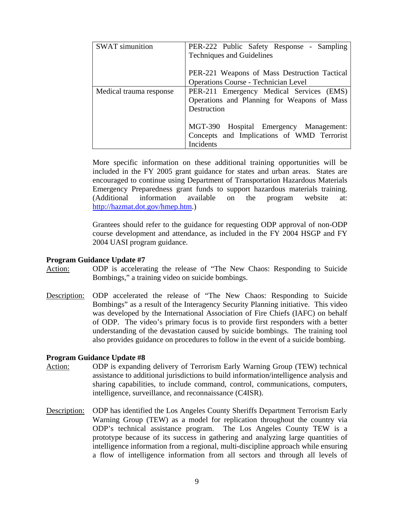| <b>SWAT</b> simunition  | PER-222 Public Safety Response - Sampling<br><b>Techniques and Guidelines</b> |
|-------------------------|-------------------------------------------------------------------------------|
|                         |                                                                               |
|                         | PER-221 Weapons of Mass Destruction Tactical                                  |
|                         | <b>Operations Course - Technician Level</b>                                   |
| Medical trauma response | PER-211 Emergency Medical Services (EMS)                                      |
|                         | Operations and Planning for Weapons of Mass                                   |
|                         | Destruction                                                                   |
|                         |                                                                               |
|                         | MGT-390 Hospital Emergency Management:                                        |
|                         | Concepts and Implications of WMD Terrorist                                    |
|                         | Incidents                                                                     |

More specific information on these additional training opportunities will be included in the FY 2005 grant guidance for states and urban areas. States are encouraged to continue using Department of Transportation Hazardous Materials Emergency Preparedness grant funds to support hazardous materials training. (Additional information available on the program website at: <http://hazmat.dot.gov/hmep.htm>.)

Grantees should refer to the guidance for requesting ODP approval of non-ODP course development and attendance, as included in the FY 2004 HSGP and FY 2004 UASI program guidance.

#### **Program Guidance Update #7**

- Action: ODP is accelerating the release of "The New Chaos: Responding to Suicide Bombings," a training video on suicide bombings.
- Description: ODP accelerated the release of "The New Chaos: Responding to Suicide Bombings" as a result of the Interagency Security Planning initiative. This video was developed by the International Association of Fire Chiefs (IAFC) on behalf of ODP. The video's primary focus is to provide first responders with a better understanding of the devastation caused by suicide bombings. The training tool also provides guidance on procedures to follow in the event of a suicide bombing.

- Action: ODP is expanding delivery of Terrorism Early Warning Group (TEW) technical assistance to additional jurisdictions to build information/intelligence analysis and sharing capabilities, to include command, control, communications, computers, intelligence, surveillance, and reconnaissance (C4ISR).
- Description: ODP has identified the Los Angeles County Sheriffs Department Terrorism Early Warning Group (TEW) as a model for replication throughout the country via ODP's technical assistance program. The Los Angeles County TEW is a prototype because of its success in gathering and analyzing large quantities of intelligence information from a regional, multi-discipline approach while ensuring a flow of intelligence information from all sectors and through all levels of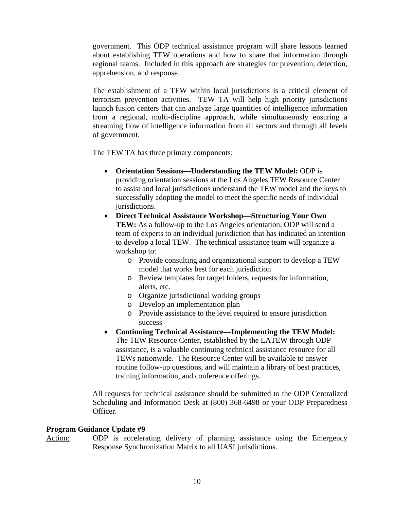government. This ODP technical assistance program will share lessons learned about establishing TEW operations and how to share that information through regional teams. Included in this approach are strategies for prevention, detection, apprehension, and response.

The establishment of a TEW within local jurisdictions is a critical element of terrorism prevention activities. TEW TA will help high priority jurisdictions launch fusion centers that can analyze large quantities of intelligence information from a regional, multi-discipline approach, while simultaneously ensuring a streaming flow of intelligence information from all sectors and through all levels of government.

The TEW TA has three primary components:

- **Orientation Sessions—Understanding the TEW Model:** ODP is providing orientation sessions at the Los Angeles TEW Resource Center to assist and local jurisdictions understand the TEW model and the keys to successfully adopting the model to meet the specific needs of individual jurisdictions.
- **Direct Technical Assistance Workshop—Structuring Your Own TEW:** As a follow-up to the Los Angeles orientation, ODP will send a team of experts to an individual jurisdiction that has indicated an intention to develop a local TEW. The technical assistance team will organize a workshop to:
	- o Provide consulting and organizational support to develop a TEW model that works best for each jurisdiction
	- o Review templates for target folders, requests for information, alerts, etc.
	- o Organize jurisdictional working groups
	- o Develop an implementation plan
	- o Provide assistance to the level required to ensure jurisdiction success
- **Continuing Technical Assistance—Implementing the TEW Model:** The TEW Resource Center, established by the LATEW through ODP assistance, is a valuable continuing technical assistance resource for all TEWs nationwide. The Resource Center will be available to answer routine follow-up questions, and will maintain a library of best practices, training information, and conference offerings.

All requests for technical assistance should be submitted to the ODP Centralized Scheduling and Information Desk at (800) 368-6498 or your ODP Preparedness Officer.

## **Program Guidance Update #9**

Action: ODP is accelerating delivery of planning assistance using the Emergency Response Synchronization Matrix to all UASI jurisdictions.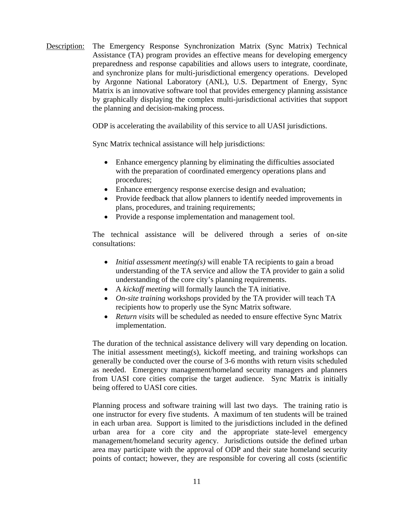Description: The Emergency Response Synchronization Matrix (Sync Matrix) Technical Assistance (TA) program provides an effective means for developing emergency preparedness and response capabilities and allows users to integrate, coordinate, and synchronize plans for multi-jurisdictional emergency operations. Developed by Argonne National Laboratory (ANL), U.S. Department of Energy, Sync Matrix is an innovative software tool that provides emergency planning assistance by graphically displaying the complex multi-jurisdictional activities that support the planning and decision-making process.

ODP is accelerating the availability of this service to all UASI jurisdictions.

Sync Matrix technical assistance will help jurisdictions:

- Enhance emergency planning by eliminating the difficulties associated with the preparation of coordinated emergency operations plans and procedures;
- Enhance emergency response exercise design and evaluation;
- Provide feedback that allow planners to identify needed improvements in plans, procedures, and training requirements;
- Provide a response implementation and management tool.

The technical assistance will be delivered through a series of on-site consultations:

- *Initial assessment meeting(s)* will enable TA recipients to gain a broad understanding of the TA service and allow the TA provider to gain a solid understanding of the core city's planning requirements.
- A *kickoff meeting* will formally launch the TA initiative.
- *On-site training* workshops provided by the TA provider will teach TA recipients how to properly use the Sync Matrix software.
- *Return visits* will be scheduled as needed to ensure effective Sync Matrix implementation.

The duration of the technical assistance delivery will vary depending on location. The initial assessment meeting(s), kickoff meeting, and training workshops can generally be conducted over the course of 3-6 months with return visits scheduled as needed. Emergency management/homeland security managers and planners from UASI core cities comprise the target audience. Sync Matrix is initially being offered to UASI core cities.

Planning process and software training will last two days. The training ratio is one instructor for every five students. A maximum of ten students will be trained in each urban area. Support is limited to the jurisdictions included in the defined urban area for a core city and the appropriate state-level emergency management/homeland security agency. Jurisdictions outside the defined urban area may participate with the approval of ODP and their state homeland security points of contact; however, they are responsible for covering all costs (scientific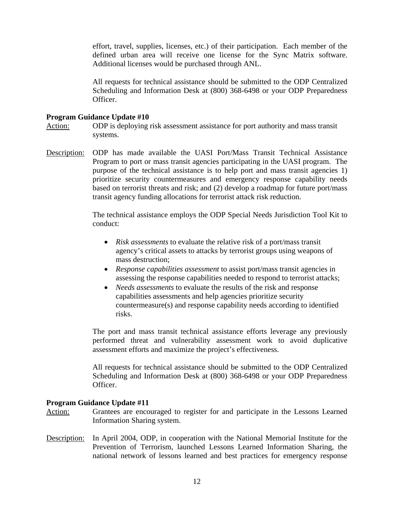effort, travel, supplies, licenses, etc.) of their participation. Each member of the defined urban area will receive one license for the Sync Matrix software. Additional licenses would be purchased through ANL.

All requests for technical assistance should be submitted to the ODP Centralized Scheduling and Information Desk at (800) 368-6498 or your ODP Preparedness Officer.

## **Program Guidance Update #10**

Action: ODP is deploying risk assessment assistance for port authority and mass transit systems.

Description: ODP has made available the UASI Port/Mass Transit Technical Assistance Program to port or mass transit agencies participating in the UASI program. The purpose of the technical assistance is to help port and mass transit agencies 1) prioritize security countermeasures and emergency response capability needs based on terrorist threats and risk; and (2) develop a roadmap for future port/mass transit agency funding allocations for terrorist attack risk reduction.

> The technical assistance employs the ODP Special Needs Jurisdiction Tool Kit to conduct:

- *Risk assessments* to evaluate the relative risk of a port/mass transit agency's critical assets to attacks by terrorist groups using weapons of mass destruction;
- *Response capabilities assessment* to assist port/mass transit agencies in assessing the response capabilities needed to respond to terrorist attacks;
- *Needs assessments* to evaluate the results of the risk and response capabilities assessments and help agencies prioritize security countermeasure(s) and response capability needs according to identified risks.

The port and mass transit technical assistance efforts leverage any previously performed threat and vulnerability assessment work to avoid duplicative assessment efforts and maximize the project's effectiveness.

All requests for technical assistance should be submitted to the ODP Centralized Scheduling and Information Desk at (800) 368-6498 or your ODP Preparedness Officer.

- Action: Grantees are encouraged to register for and participate in the Lessons Learned Information Sharing system.
- Description: In April 2004, ODP, in cooperation with the National Memorial Institute for the Prevention of Terrorism, launched Lessons Learned Information Sharing, the national network of lessons learned and best practices for emergency response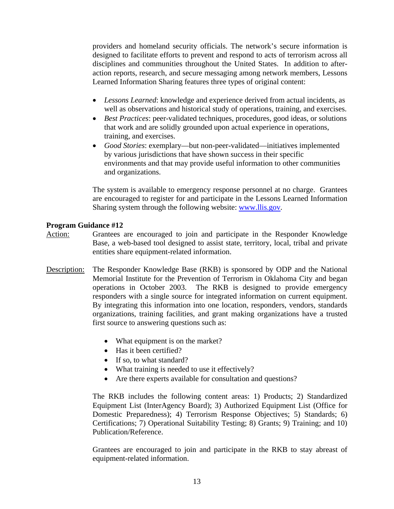providers and homeland security officials. The network's secure information is designed to facilitate efforts to prevent and respond to acts of terrorism across all disciplines and communities throughout the United States. In addition to afteraction reports, research, and secure messaging among network members, Lessons Learned Information Sharing features three types of original content:

- *Lessons Learned*: knowledge and experience derived from actual incidents, as well as observations and historical study of operations, training, and exercises.
- *Best Practices*: peer-validated techniques, procedures, good ideas, or solutions that work and are solidly grounded upon actual experience in operations, training, and exercises.
- *Good Stories*: exemplary—but non-peer-validated—initiatives implemented by various jurisdictions that have shown success in their specific environments and that may provide useful information to other communities and organizations.

The system is available to emergency response personnel at no charge. Grantees are encouraged to register for and participate in the Lessons Learned Information Sharing system through the following website: [www.llis.gov.](http://www.llis.gov/)

## **Program Guidance #12**

- Action: Grantees are encouraged to join and participate in the Responder Knowledge Base, a web-based tool designed to assist state, territory, local, tribal and private entities share equipment-related information.
- Description: The Responder Knowledge Base (RKB) is sponsored by ODP and the National Memorial Institute for the Prevention of Terrorism in Oklahoma City and began operations in October 2003. The RKB is designed to provide emergency responders with a single source for integrated information on current equipment. By integrating this information into one location, responders, vendors, standards organizations, training facilities, and grant making organizations have a trusted first source to answering questions such as:
	- What equipment is on the market?
	- Has it been certified?
	- If so, to what standard?
	- What training is needed to use it effectively?
	- Are there experts available for consultation and questions?

The RKB includes the following content areas: 1) Products; 2) Standardized Equipment List (InterAgency Board); 3) Authorized Equipment List (Office for Domestic Preparedness); 4) Terrorism Response Objectives; 5) Standards; 6) Certifications; 7) Operational Suitability Testing; 8) Grants; 9) Training; and 10) Publication/Reference.

Grantees are encouraged to join and participate in the RKB to stay abreast of equipment-related information.